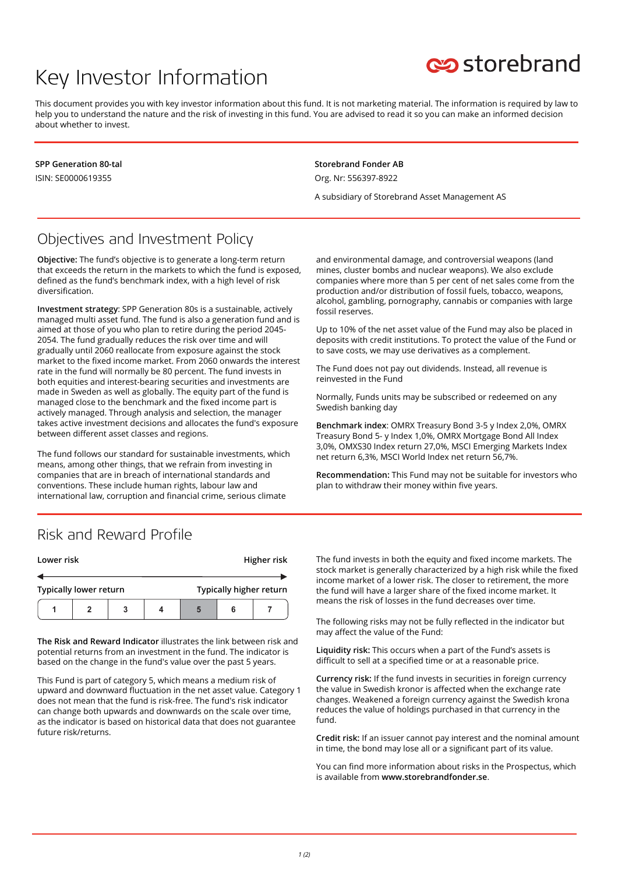# Key Investor Information



This document provides you with key investor information about this fund. It is not marketing material. The information is required by law to help you to understand the nature and the risk of investing in this fund. You are advised to read it so you can make an informed decision about whether to invest.

**SPP Generation 80-tal** ISIN: SE0000619355

**Storebrand Fonder AB** Org. Nr: 556397-8922

A subsidiary of Storebrand Asset Management AS

### Objectives and Investment Policy

**Objective:** The fund's objective is to generate a long-term return that exceeds the return in the markets to which the fund is exposed, defined as the fund's benchmark index, with a high level of risk diversification.

**Investment strategy**: SPP Generation 80s is a sustainable, actively managed multi asset fund. The fund is also a generation fund and is aimed at those of you who plan to retire during the period 2045- 2054. The fund gradually reduces the risk over time and will gradually until 2060 reallocate from exposure against the stock market to the fixed income market. From 2060 onwards the interest rate in the fund will normally be 80 percent. The fund invests in both equities and interest-bearing securities and investments are made in Sweden as well as globally. The equity part of the fund is managed close to the benchmark and the fixed income part is actively managed. Through analysis and selection, the manager takes active investment decisions and allocates the fund's exposure between different asset classes and regions.

The fund follows our standard for sustainable investments, which means, among other things, that we refrain from investing in companies that are in breach of international standards and conventions. These include human rights, labour law and international law, corruption and financial crime, serious climate

and environmental damage, and controversial weapons (land mines, cluster bombs and nuclear weapons). We also exclude companies where more than 5 per cent of net sales come from the production and/or distribution of fossil fuels, tobacco, weapons, alcohol, gambling, pornography, cannabis or companies with large fossil reserves.

Up to 10% of the net asset value of the Fund may also be placed in deposits with credit institutions. To protect the value of the Fund or to save costs, we may use derivatives as a complement.

The Fund does not pay out dividends. Instead, all revenue is reinvested in the Fund

Normally, Funds units may be subscribed or redeemed on any Swedish banking day

**Benchmark index**: OMRX Treasury Bond 3-5 y Index 2,0%, OMRX Treasury Bond 5- y Index 1,0%, OMRX Mortgage Bond All Index 3,0%, OMXS30 Index return 27,0%, MSCI Emerging Markets Index net return 6,3%, MSCI World Index net return 56,7%.

**Recommendation:** This Fund may not be suitable for investors who plan to withdraw their money within five years.

#### Risk and Reward Profile

| Lower risk                    |  |   |  | Higher risk             |   |  |
|-------------------------------|--|---|--|-------------------------|---|--|
|                               |  |   |  |                         |   |  |
| <b>Typically lower return</b> |  |   |  | Typically higher return |   |  |
|                               |  | 3 |  |                         | 6 |  |

**The Risk and Reward Indicator** illustrates the link between risk and potential returns from an investment in the fund. The indicator is based on the change in the fund's value over the past 5 years.

This Fund is part of category 5, which means a medium risk of upward and downward fluctuation in the net asset value. Category 1 does not mean that the fund is risk-free. The fund's risk indicator can change both upwards and downwards on the scale over time, as the indicator is based on historical data that does not guarantee future risk/returns.

The fund invests in both the equity and fixed income markets. The stock market is generally characterized by a high risk while the fixed income market of a lower risk. The closer to retirement, the more the fund will have a larger share of the fixed income market. It means the risk of losses in the fund decreases over time.

The following risks may not be fully reflected in the indicator but may affect the value of the Fund:

**Liquidity risk:** This occurs when a part of the Fund's assets is difficult to sell at a specified time or at a reasonable price.

**Currency risk:** If the fund invests in securities in foreign currency the value in Swedish kronor is affected when the exchange rate changes. Weakened a foreign currency against the Swedish krona reduces the value of holdings purchased in that currency in the fund.

**Credit risk:** If an issuer cannot pay interest and the nominal amount in time, the bond may lose all or a significant part of its value.

You can find more information about risks in the Prospectus, which is available from **www.storebrandfonder.se**.